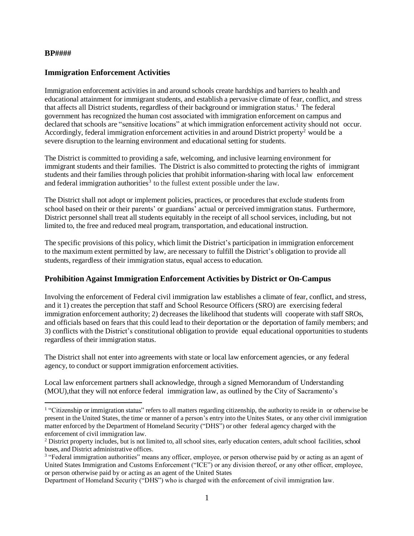#### **BP####**

l

### **Immigration Enforcement Activities**

Immigration enforcement activities in and around schools create hardships and barriers to health and educational attainment for immigrant students, and establish a pervasive climate of fear, conflict, and stress that affects all District students, regardless of their background or immigration status.<sup>1</sup> The federal government has recognized the human cost associated with immigration enforcement on campus and declared that schools are "sensitive locations" at which immigration enforcement activity should not occur. Accordingly, federal immigration enforcement activities in and around District property<sup>2</sup> would be a severe disruption to the learning environment and educational setting for students.

The District is committed to providing a safe, welcoming, and inclusive learning environment for immigrant students and their families. The District is also committed to protecting the rights of immigrant students and their families through policies that prohibit information-sharing with local law enforcement and federal immigration authorities<sup>3</sup> to the fullest extent possible under the law.

The District shall not adopt or implement policies, practices, or procedures that exclude students from school based on their or their parents' or guardians' actual or perceived immigration status. Furthermore, District personnel shall treat all students equitably in the receipt of all school services, including, but not limited to, the free and reduced meal program, transportation, and educational instruction.

The specific provisions of this policy, which limit the District's participation in immigration enforcement to the maximum extent permitted by law, are necessary to fulfill the District's obligation to provide all students, regardless of their immigration status, equal access to education.

#### **Prohibition Against Immigration Enforcement Activities by District or On-Campus**

Involving the enforcement of Federal civil immigration law establishes a climate of fear, conflict, and stress, and it 1) creates the perception that staff and School Resource Officers (SRO) are exercising federal immigration enforcement authority; 2) decreases the likelihood that students will cooperate with staff SROs, and officials based on fears that this could lead to their deportation or the deportation of family members; and 3) conflicts with the District's constitutional obligation to provide equal educational opportunities to students regardless of their immigration status.

The District shall not enter into agreements with state or local law enforcement agencies, or any federal agency, to conduct or support immigration enforcement activities.

Local law enforcement partners shall acknowledge, through a signed Memorandum of Understanding (MOU),that they will not enforce federal immigration law, as outlined by the City of Sacramento's

<sup>&</sup>lt;sup>1</sup> "Citizenship or immigration status" refers to all matters regarding citizenship, the authority to reside in or otherwise be present in the United States, the time or manner of a person's entry into the Unites States, or any other civil immigration matter enforced by the Department of Homeland Security ("DHS") or other federal agency charged with the enforcement of civil immigration law.

<sup>&</sup>lt;sup>2</sup> District property includes, but is not limited to, all school sites, early education centers, adult school facilities, school buses, and District administrative offices.

<sup>&</sup>lt;sup>3</sup> "Federal immigration authorities" means any officer, employee, or person otherwise paid by or acting as an agent of United States Immigration and Customs Enforcement ("ICE") or any division thereof, or any other officer, employee, or person otherwise paid by or acting as an agent of the United States

Department of Homeland Security ("DHS") who is charged with the enforcement of civil immigration law.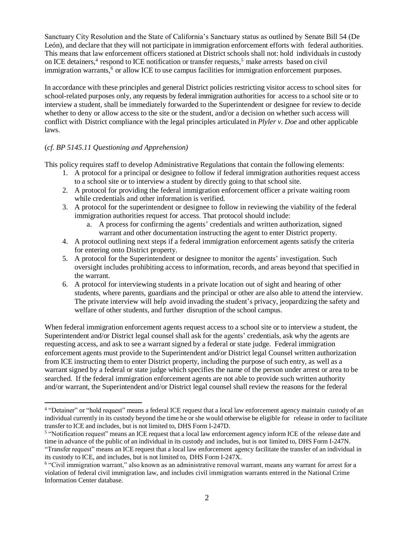Sanctuary City Resolution and the State of California's Sanctuary status as outlined by Senate Bill 54 (De León), and declare that they will not participate in immigration enforcement efforts with federal authorities. This means that law enforcement officers stationed at District schools shall not: hold individuals in custody on ICE detainers,<sup>4</sup> respond to ICE notification or transfer requests,<sup>5</sup> make arrests based on civil immigration warrants,<sup>6</sup> or allow ICE to use campus facilities for immigration enforcement purposes.

In accordance with these principles and general District policies restricting visitor access to school sites for school-related purposes only, any requests by federal immigration authorities for access to a school site or to interview a student, shall be immediately forwarded to the Superintendent or designee for review to decide whether to deny or allow access to the site or the student, and/or a decision on whether such access will conflict with District compliance with the legal principles articulated in *Plyler v. Doe* and other applicable laws.

## (*cf. BP 5145.11 Questioning and Apprehension)*

l

This policy requires staff to develop Administrative Regulations that contain the following elements:

- 1. A protocol for a principal or designee to follow if federal immigration authorities request access to a school site or to interview a student by directly going to that school site.
- 2. A protocol for providing the federal immigration enforcement officer a private waiting room while credentials and other information is verified.
- 3. A protocol for the superintendent or designee to follow in reviewing the viability of the federal immigration authorities request for access. That protocol should include:
	- a. A process for confirming the agents' credentials and written authorization, signed warrant and other documentation instructing the agent to enter District property.
- 4. A protocol outlining next steps if a federal immigration enforcement agents satisfy the criteria for entering onto District property.
- 5. A protocol for the Superintendent or designee to monitor the agents' investigation. Such oversight includes prohibiting access to information, records, and areas beyond that specified in the warrant.
- 6. A protocol for interviewing students in a private location out of sight and hearing of other students, where parents, guardians and the principal or other are also able to attend the interview. The private interview will help avoid invading the student's privacy, jeopardizing the safety and welfare of other students, and further disruption of the school campus.

When federal immigration enforcement agents request access to a school site or to interview a student, the Superintendent and/or District legal counsel shall ask for the agents' credentials, ask why the agents are requesting access, and ask to see a warrant signed by a federal or state judge. Federal immigration enforcement agents must provide to the Superintendent and/or District legal Counsel written authorization from ICE instructing them to enter District property, including the purpose of such entry, as well as a warrant signed by a federal or state judge which specifies the name of the person under arrest or area to be searched. If the federal immigration enforcement agents are not able to provide such written authority and/or warrant, the Superintendent and/or District legal counsel shall review the reasons for the federal

<sup>&</sup>lt;sup>4</sup> "Detainer" or "hold request" means a federal ICE request that a local law enforcement agency maintain custody of an individual currently in its custody beyond the time he or she would otherwise be eligible for release in order to facilitate transfer to ICE and includes, but is not limited to, DHS Form I-247D.

<sup>&</sup>lt;sup>5</sup> "Notification request" means an ICE request that a local law enforcement agency inform ICE of the release date and time in advance of the public of an individual in its custody and includes, but is not limited to, DHS Form I-247N. "Transfer request" means an ICE request that a local law enforcement agency facilitate the transfer of an individual in its custody to ICE, and includes, but is not limited to, DHS Form I-247X.

<sup>&</sup>lt;sup>6</sup> "Civil immigration warrant," also known as an administrative removal warrant, means any warrant for arrest for a violation of federal civil immigration law, and includes civil immigration warrants entered in the National Crime Information Center database.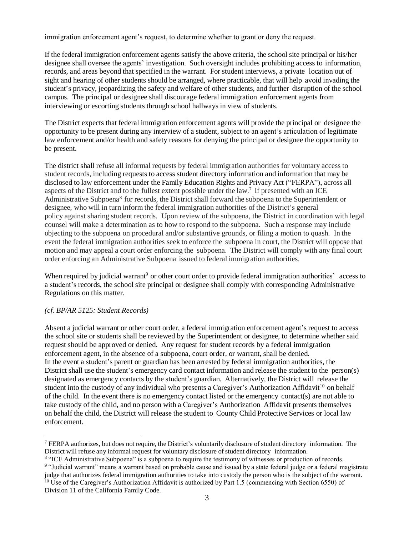immigration enforcement agent's request, to determine whether to grant or deny the request.

If the federal immigration enforcement agents satisfy the above criteria, the school site principal or his/her designee shall oversee the agents' investigation. Such oversight includes prohibiting access to information, records, and areas beyond that specified in the warrant. For student interviews, a private location out of sight and hearing of other students should be arranged, where practicable, that will help avoid invading the student's privacy, jeopardizing the safety and welfare of other students, and further disruption of the school campus. The principal or designee shall discourage federal immigration enforcement agents from interviewing or escorting students through school hallways in view of students.

The District expects that federal immigration enforcement agents will provide the principal or designee the opportunity to be present during any interview of a student, subject to an agent's articulation of legitimate law enforcement and/or health and safety reasons for denying the principal or designee the opportunity to be present.

The district shall refuse all informal requests by federal immigration authorities for voluntary access to student records, including requests to access student directory information and information that may be disclosed to law enforcement under the Family Education Rights and Privacy Act ("FERPA"), across all aspects of the District and to the fullest extent possible under the law.<sup>7</sup> If presented with an ICE Administrative Subpoena<sup>8</sup> for records, the District shall forward the subpoena to the Superintendent or designee, who will in turn inform the federal immigration authorities of the District's general policy against sharing student records. Upon review of the subpoena, the District in coordination with legal counsel will make a determination as to how to respond to the subpoena. Such a response may include objecting to the subpoena on procedural and/or substantive grounds, or filing a motion to quash. In the event the federal immigration authorities seek to enforce the subpoena in court, the District will oppose that motion and may appeal a court order enforcing the subpoena. The District will comply with any final court order enforcing an Administrative Subpoena issued to federal immigration authorities.

When required by judicial warrant<sup>9</sup> or other court order to provide federal immigration authorities' access to a student's records, the school site principal or designee shall comply with corresponding Administrative Regulations on this matter.

## *(cf. BP/AR 5125: Student Records)*

 $\overline{a}$ 

Absent a judicial warrant or other court order, a federal immigration enforcement agent's request to access the school site or students shall be reviewed by the Superintendent or designee, to determine whether said request should be approved or denied. Any request for student records by a federal immigration enforcement agent, in the absence of a subpoena, court order, or warrant, shall be denied. In the event a student's parent or guardian has been arrested by federal immigration authorities, the District shall use the student's emergency card contact information and release the student to the person(s) designated as emergency contacts by the student's guardian. Alternatively, the District will release the student into the custody of any individual who presents a Caregiver's Authorization Affidavit<sup>10</sup> on behalf of the child. In the event there is no emergency contact listed or the emergency contact(s) are not able to take custody of the child, and no person with a Caregiver's Authorization Affidavit presents themselves on behalf the child, the District will release the student to County Child Protective Services or local law enforcement.

<sup>7</sup> FERPA authorizes, but does not require, the District's voluntarily disclosure ofstudent directory information. The District will refuse any informal request for voluntary disclosure of student directory information.

<sup>&</sup>lt;sup>8</sup> "ICE Administrative Subpoena" is a subpoena to require the testimony of witnesses or production of records.

<sup>&</sup>lt;sup>9</sup> "Judicial warrant" means a warrant based on probable cause and issued by a state federal judge or a federal magistrate judge that authorizes federal immigration authorities to take into custody the person who is the subject of the warrant. <sup>10</sup> Use of the Caregiver's Authorization Affidavit is authorized by Part 1.5 (commencing with Section 6550) of Division 11 of the California Family Code.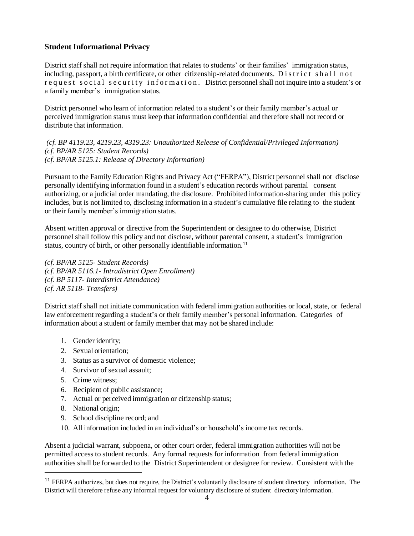## **Student Informational Privacy**

District staff shall not require information that relates to students' or their families' immigration status, including, passport, a birth certificate, or other citizenship-related documents. District shall not request social security information. District personnel shall not inquire into a student's or a family member's immigration status.

District personnel who learn of information related to a student's or their family member's actual or perceived immigration status must keep that information confidential and therefore shall not record or distribute that information.

*(cf. BP 4119.23, 4219.23, 4319.23: Unauthorized Release of Confidential/Privileged Information) (cf. BP/AR 5125: Student Records) (cf. BP/AR 5125.1: Release of Directory Information)*

Pursuant to the Family Education Rights and Privacy Act ("FERPA"), District personnel shall not disclose personally identifying information found in a student's education records without parental consent authorizing, or a judicial order mandating, the disclosure. Prohibited information-sharing under this policy includes, but is not limited to, disclosing information in a student's cumulative file relating to the student or their family member's immigration status.

Absent written approval or directive from the Superintendent or designee to do otherwise, District personnel shall follow this policy and not disclose, without parental consent, a student's immigration status, country of birth, or other personally identifiable information.<sup>11</sup>

*(cf. BP/AR 5125- Student Records) (cf. BP/AR 5116.1- Intradistrict Open Enrollment) (cf. BP 5117- Interdistrict Attendance) (cf. AR 5118- Transfers)*

District staff shall not initiate communication with federal immigration authorities or local, state, or federal law enforcement regarding a student's or their family member's personal information. Categories of information about a student or family member that may not be shared include:

- 1. Gender identity;
- 2. Sexual orientation;
- 3. Status as a survivor of domestic violence;
- 4. Survivor of sexual assault;
- 5. Crime witness;
- 6. Recipient of public assistance;
- 7. Actual or perceived immigration or citizenship status;
- 8. National origin;

 $\overline{a}$ 

- 9. School discipline record; and
- 10. All information included in an individual's or household's income tax records.

Absent a judicial warrant, subpoena, or other court order, federal immigration authorities will not be permitted access to student records. Any formal requests for information from federal immigration authorities shall be forwarded to the District Superintendent or designee for review. Consistent with the

<sup>&</sup>lt;sup>11</sup> FERPA authorizes, but does not require, the District's voluntarily disclosure of student directory information. The District will therefore refuse any informal request for voluntary disclosure of student directory information.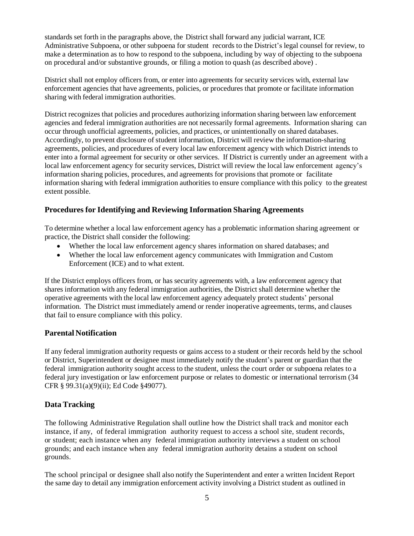standards set forth in the paragraphs above, the District shall forward any judicial warrant, ICE Administrative Subpoena, or other subpoena for student records to the District's legal counsel for review, to make a determination as to how to respond to the subpoena, including by way of objecting to the subpoena on procedural and/or substantive grounds, or filing a motion to quash (as described above) .

District shall not employ officers from, or enter into agreements for security services with, external law enforcement agencies that have agreements, policies, or procedures that promote or facilitate information sharing with federal immigration authorities.

District recognizes that policies and procedures authorizing information sharing between law enforcement agencies and federal immigration authorities are not necessarily formal agreements. Information sharing can occur through unofficial agreements, policies, and practices, or unintentionally on shared databases. Accordingly, to prevent disclosure of student information, District will review the information-sharing agreements, policies, and procedures of every local law enforcement agency with which District intends to enter into a formal agreement for security or other services. If District is currently under an agreement with a local law enforcement agency for security services, District will review the local law enforcement agency's information sharing policies, procedures, and agreements for provisions that promote or facilitate information sharing with federal immigration authorities to ensure compliance with this policy to the greatest extent possible.

## **Procedures for Identifying and Reviewing Information Sharing Agreements**

To determine whether a local law enforcement agency has a problematic information sharing agreement or practice, the District shall consider the following:

- Whether the local law enforcement agency shares information on shared databases; and
- Whether the local law enforcement agency communicates with Immigration and Custom Enforcement (ICE) and to what extent.

If the District employs officers from, or has security agreements with, a law enforcement agency that shares information with any federal immigration authorities, the District shall determine whether the operative agreements with the local law enforcement agency adequately protect students' personal information. The District must immediately amend or render inoperative agreements, terms, and clauses that fail to ensure compliance with this policy.

## **Parental Notification**

If any federal immigration authority requests or gains access to a student or their records held by the school or District, Superintendent or designee must immediately notify the student's parent or guardian that the federal immigration authority sought access to the student, unless the court order or subpoena relates to a federal jury investigation or law enforcement purpose or relates to domestic or international terrorism (34 CFR § 99.31(a)(9)(ii); Ed Code §49077).

# **Data Tracking**

The following Administrative Regulation shall outline how the District shall track and monitor each instance, if any, of federal immigration authority request to access a school site, student records, or student; each instance when any federal immigration authority interviews a student on school grounds; and each instance when any federal immigration authority detains a student on school grounds.

The school principal or designee shall also notify the Superintendent and enter a written Incident Report the same day to detail any immigration enforcement activity involving a District student as outlined in